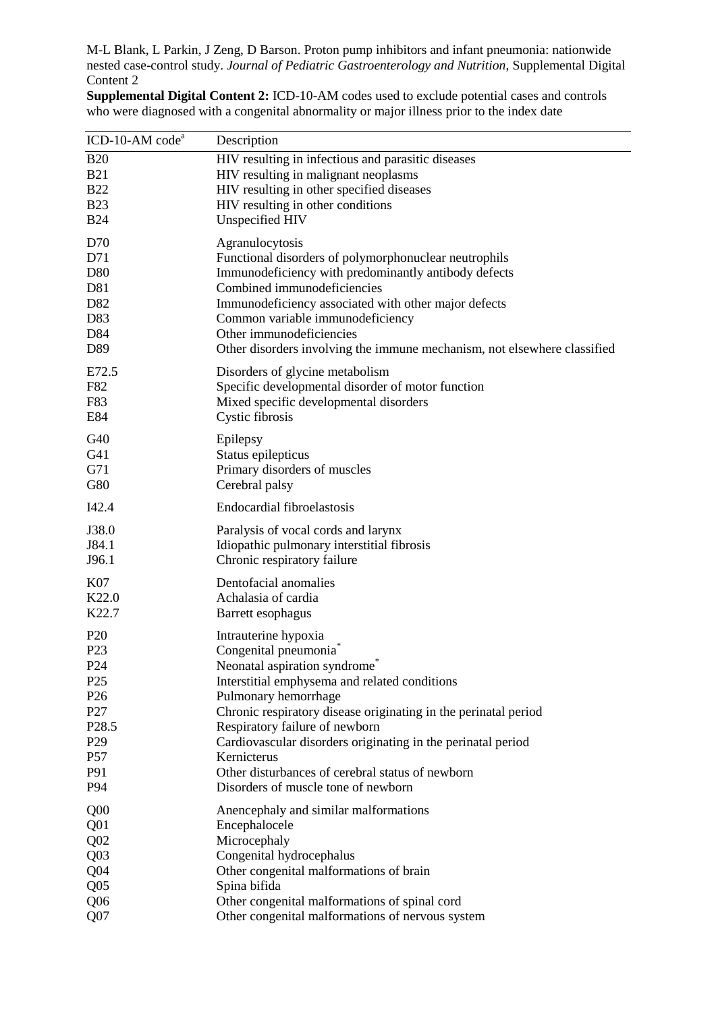M-L Blank, L Parkin, J Zeng, D Barson. Proton pump inhibitors and infant pneumonia: nationwide nested case-control study. *Journal of Pediatric Gastroenterology and Nutrition*, Supplemental Digital Content 2

**Supplemental Digital Content 2:** ICD-10-AM codes used to exclude potential cases and controls who were diagnosed with a congenital abnormality or major illness prior to the index date

| ICD-10-AM code <sup>a</sup>        | Description                                                                             |
|------------------------------------|-----------------------------------------------------------------------------------------|
| <b>B20</b>                         | HIV resulting in infectious and parasitic diseases                                      |
| <b>B21</b>                         | HIV resulting in malignant neoplasms                                                    |
| <b>B22</b>                         | HIV resulting in other specified diseases                                               |
| <b>B23</b>                         | HIV resulting in other conditions                                                       |
| <b>B24</b>                         | Unspecified HIV                                                                         |
| D70                                | Agranulocytosis                                                                         |
| D71                                | Functional disorders of polymorphonuclear neutrophils                                   |
| D80                                | Immunodeficiency with predominantly antibody defects                                    |
| D81                                | Combined immunodeficiencies                                                             |
| D82                                | Immunodeficiency associated with other major defects                                    |
| D83                                | Common variable immunodeficiency                                                        |
| D84                                | Other immunodeficiencies                                                                |
| D89                                | Other disorders involving the immune mechanism, not elsewhere classified                |
| E72.5                              | Disorders of glycine metabolism                                                         |
| F82                                | Specific developmental disorder of motor function                                       |
| F83                                | Mixed specific developmental disorders                                                  |
| E84                                | Cystic fibrosis                                                                         |
| G40                                | Epilepsy                                                                                |
| G41                                | Status epilepticus                                                                      |
| G71                                | Primary disorders of muscles                                                            |
| G80                                | Cerebral palsy                                                                          |
| I42.4                              | <b>Endocardial fibroelastosis</b>                                                       |
| J38.0                              | Paralysis of vocal cords and larynx                                                     |
| J84.1                              | Idiopathic pulmonary interstitial fibrosis                                              |
| J96.1                              | Chronic respiratory failure                                                             |
| K07                                | Dentofacial anomalies                                                                   |
| K22.0                              | Achalasia of cardia                                                                     |
| K22.7                              | Barrett esophagus                                                                       |
| P <sub>20</sub>                    | Intrauterine hypoxia                                                                    |
| P <sub>23</sub>                    | Congenital pneumonia <sup>®</sup>                                                       |
| P <sub>24</sub>                    | Neonatal aspiration syndrome                                                            |
| P <sub>25</sub>                    | Interstitial emphysema and related conditions                                           |
| P <sub>26</sub>                    | Pulmonary hemorrhage                                                                    |
| P27                                | Chronic respiratory disease originating in the perinatal period                         |
| P <sub>28.5</sub>                  | Respiratory failure of newborn                                                          |
| P <sub>29</sub>                    | Cardiovascular disorders originating in the perinatal period                            |
| P57                                | Kernicterus                                                                             |
| P91<br>P94                         | Other disturbances of cerebral status of newborn<br>Disorders of muscle tone of newborn |
|                                    |                                                                                         |
| Q <sub>00</sub>                    | Anencephaly and similar malformations                                                   |
| Q <sub>01</sub>                    | Encephalocele                                                                           |
| Q <sub>02</sub>                    | Microcephaly                                                                            |
| Q <sub>03</sub>                    | Congenital hydrocephalus                                                                |
| Q <sub>04</sub>                    | Other congenital malformations of brain                                                 |
| Q <sub>05</sub><br>Q <sub>06</sub> | Spina bifida<br>Other congenital malformations of spinal cord                           |
| Q <sub>07</sub>                    | Other congenital malformations of nervous system                                        |
|                                    |                                                                                         |